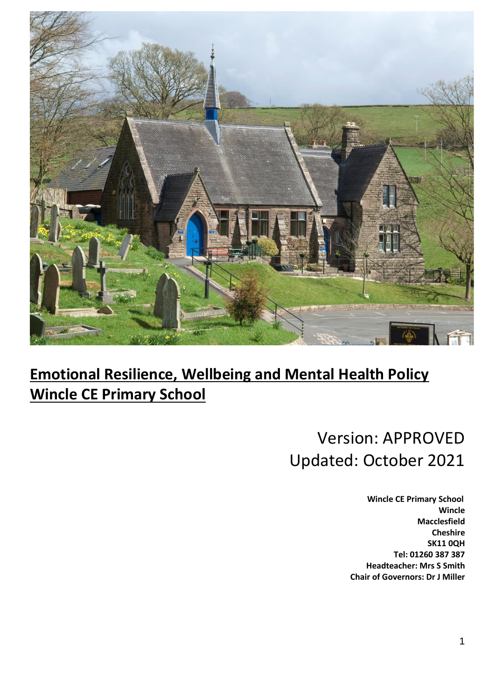

# **Emotional Resilience, Wellbeing and Mental Health Policy Wincle CE Primary School**

# Version: APPROVED Updated: October 2021

 **Wincle CE Primary School Wincle Macclesfield Cheshire SK11 0QH Tel: 01260 387 387 Headteacher: Mrs S Smith Chair of Governors: Dr J Miller**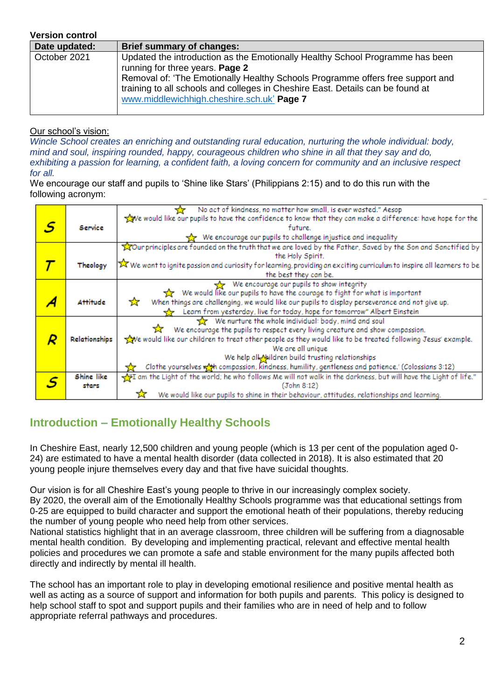#### **Version control**

| Date updated: | <b>Brief summary of changes:</b>                                                                                                                                                                                                                                                                                                   |
|---------------|------------------------------------------------------------------------------------------------------------------------------------------------------------------------------------------------------------------------------------------------------------------------------------------------------------------------------------|
| October 2021  | Updated the introduction as the Emotionally Healthy School Programme has been<br>running for three years. Page 2<br>Removal of: 'The Emotionally Healthy Schools Programme offers free support and<br>training to all schools and colleges in Cheshire East. Details can be found at<br>www.middlewichhigh.cheshire.sch.uk' Page 7 |

#### Our school's vision:

*Wincle School creates an enriching and outstanding rural education, nurturing the whole individual: body, mind and soul, inspiring rounded, happy, courageous children who shine in all that they say and do, exhibiting a passion for learning, a confident faith, a loving concern for community and an inclusive respect for all.*

We encourage our staff and pupils to 'Shine like Stars' (Philippians 2:15) and to do this run with the following acronym:

|   |                   | No act of kindness, no matter how small, is ever wasted." Aesop                                                        |  |  |  |
|---|-------------------|------------------------------------------------------------------------------------------------------------------------|--|--|--|
|   |                   | We would like our pupils to have the confidence to know that they can make a difference: have hope for the             |  |  |  |
| S | Service           | future.                                                                                                                |  |  |  |
|   |                   | We encourage our pupils to challenge injustice and inequality                                                          |  |  |  |
|   |                   | Tour principles are founded on the truth that we are loved by the Father, Saved by the Son and Sanctified by           |  |  |  |
|   |                   | the Holy Spirit.                                                                                                       |  |  |  |
|   | Theology          | X We want to ignite passion and curiosity for learning, providing an exciting curriculum to inspire all learners to be |  |  |  |
|   |                   | the best they can be.                                                                                                  |  |  |  |
|   |                   | We encourage our pupils to show integrity                                                                              |  |  |  |
|   |                   | We would like our pupils to have the courage to fight for what is important<br>52                                      |  |  |  |
|   | <b>Attitude</b>   | When things are challenging, we would like our pupils to display perseverance and not give up.<br>☆                    |  |  |  |
|   |                   | Learn from yesterday, live for today, hope for tomorrow" Albert Einstein                                               |  |  |  |
|   |                   | We nurture the whole individual: body, mind and soul                                                                   |  |  |  |
|   |                   | We encourage the pupils to respect every living creature and show compassion.<br>玄                                     |  |  |  |
|   | Relationships     | we would like our children to treat other people as they would like to be treated following Jesus' example.            |  |  |  |
|   | We are all unique |                                                                                                                        |  |  |  |
|   |                   | We help all Mildren build trusting relationships                                                                       |  |  |  |
|   |                   | Clothe yourselves with compassion, kindness, humility, gentleness and patience.' (Colossians 3:12)                     |  |  |  |
|   | Shine like        | m the Light of the world; he who follows Me will not walk in the darkness, but will have the Light of life."           |  |  |  |
|   | stars             | (John 8:12)                                                                                                            |  |  |  |
|   |                   | We would like our pupils to shine in their behaviour, attitudes, relationships and learning.                           |  |  |  |

## **Introduction – Emotionally Healthy Schools**

In Cheshire East, nearly 12,500 children and young people (which is 13 per cent of the population aged 0- 24) are estimated to have a mental health disorder (data collected in 2018). It is also estimated that 20 young people injure themselves every day and that five have suicidal thoughts.

Our vision is for all Cheshire East's young people to thrive in our increasingly complex society.

By 2020, the overall aim of the Emotionally Healthy Schools programme was that educational settings from 0-25 are equipped to build character and support the emotional heath of their populations, thereby reducing the number of young people who need help from other services.

National statistics highlight that in an average classroom, three children will be suffering from a diagnosable mental health condition. By developing and implementing practical, relevant and effective mental health policies and procedures we can promote a safe and stable environment for the many pupils affected both directly and indirectly by mental ill health.

The school has an important role to play in developing emotional resilience and positive mental health as well as acting as a source of support and information for both pupils and parents. This policy is designed to help school staff to spot and support pupils and their families who are in need of help and to follow appropriate referral pathways and procedures.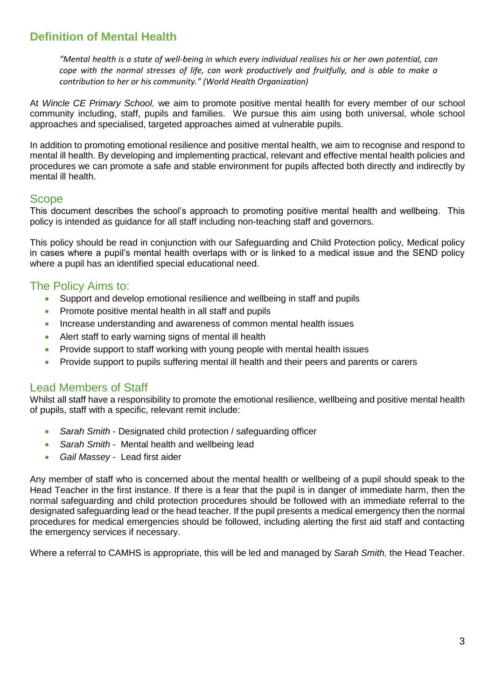## **Definition of Mental Health**

*"Mental health is a state of well-being in which every individual realises his or her own potential, can cope with the normal stresses of life, can work productively and fruitfully, and is able to make a contribution to her or his community." (World Health Organization)*

At *Wincle CE Primary School,* we aim to promote positive mental health for every member of our school community including, staff, pupils and families. We pursue this aim using both universal, whole school approaches and specialised, targeted approaches aimed at vulnerable pupils.

In addition to promoting emotional resilience and positive mental health, we aim to recognise and respond to mental ill health. By developing and implementing practical, relevant and effective mental health policies and procedures we can promote a safe and stable environment for pupils affected both directly and indirectly by mental ill health.

## Scope

This document describes the school's approach to promoting positive mental health and wellbeing. This policy is intended as guidance for all staff including non-teaching staff and governors.

This policy should be read in conjunction with our Safeguarding and Child Protection policy, Medical policy in cases where a pupil's mental health overlaps with or is linked to a medical issue and the SEND policy where a pupil has an identified special educational need.

## The Policy Aims to:

- Support and develop emotional resilience and wellbeing in staff and pupils
- Promote positive mental health in all staff and pupils
- Increase understanding and awareness of common mental health issues
- Alert staff to early warning signs of mental ill health
- Provide support to staff working with young people with mental health issues
- Provide support to pupils suffering mental ill health and their peers and parents or carers

## Lead Members of Staff

Whilst all staff have a responsibility to promote the emotional resilience, wellbeing and positive mental health of pupils, staff with a specific, relevant remit include:

- *Sarah Smith* Designated child protection / safeguarding officer
- *Sarah Smith* Mental health and wellbeing lead
- *Gail Massey* Lead first aider

Any member of staff who is concerned about the mental health or wellbeing of a pupil should speak to the Head Teacher in the first instance. If there is a fear that the pupil is in danger of immediate harm, then the normal safeguarding and child protection procedures should be followed with an immediate referral to the designated safeguarding lead or the head teacher. If the pupil presents a medical emergency then the normal procedures for medical emergencies should be followed, including alerting the first aid staff and contacting the emergency services if necessary.

Where a referral to CAMHS is appropriate, this will be led and managed by *Sarah Smith,* the Head Teacher.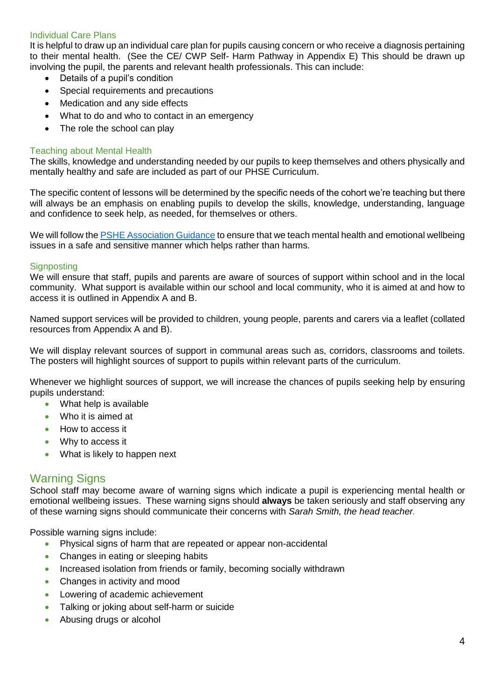#### Individual Care Plans

It is helpful to draw up an individual care plan for pupils causing concern or who receive a diagnosis pertaining to their mental health. (See the CE/ CWP Self- Harm Pathway in Appendix E) This should be drawn up involving the pupil, the parents and relevant health professionals. This can include:

- Details of a pupil's condition
- Special requirements and precautions
- Medication and any side effects
- What to do and who to contact in an emergency
- The role the school can play

#### Teaching about Mental Health

The skills, knowledge and understanding needed by our pupils to keep themselves and others physically and mentally healthy and safe are included as part of our PHSE Curriculum.

The specific content of lessons will be determined by the specific needs of the cohort we're teaching but there will always be an emphasis on enabling pupils to develop the skills, knowledge, understanding, language and confidence to seek help, as needed, for themselves or others.

We will follow th[e PSHE Association Guidance](http://www.inourhands.com/wp-content/uploads/2015/03/Preparing-to-teach-about-mental-health-and-emotional-wellbeing-PSHE-Association-March-2015-FINAL.pdf) to ensure that we teach mental health and emotional wellbeing issues in a safe and sensitive manner which helps rather than harms.

#### **Signposting**

We will ensure that staff, pupils and parents are aware of sources of support within school and in the local community. What support is available within our school and local community, who it is aimed at and how to access it is outlined in Appendix A and B.

Named support services will be provided to children, young people, parents and carers via a leaflet (collated resources from Appendix A and B).

We will display relevant sources of support in communal areas such as, corridors, classrooms and toilets. The posters will highlight sources of support to pupils within relevant parts of the curriculum.

Whenever we highlight sources of support, we will increase the chances of pupils seeking help by ensuring pupils understand:

- What help is available
- Who it is aimed at
- How to access it
- Why to access it
- What is likely to happen next

## Warning Signs

School staff may become aware of warning signs which indicate a pupil is experiencing mental health or emotional wellbeing issues. These warning signs should **always** be taken seriously and staff observing any of these warning signs should communicate their concerns with *Sarah Smith, the head teacher.*

Possible warning signs include:

- Physical signs of harm that are repeated or appear non-accidental
- Changes in eating or sleeping habits
- Increased isolation from friends or family, becoming socially withdrawn
- Changes in activity and mood
- Lowering of academic achievement
- Talking or joking about self-harm or suicide
- Abusing drugs or alcohol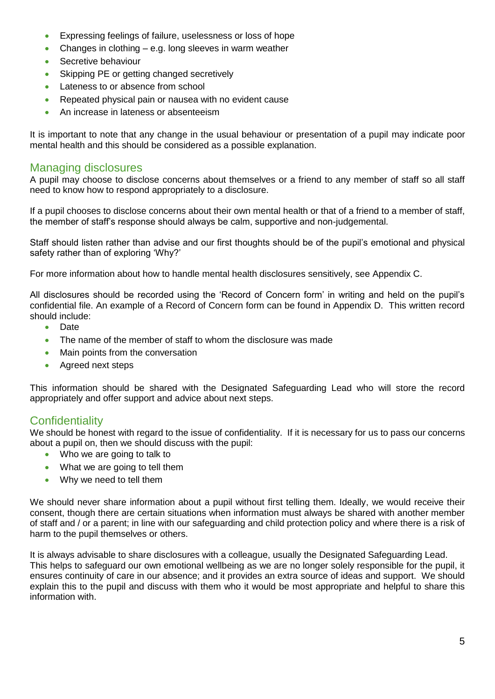- Expressing feelings of failure, uselessness or loss of hope
- Changes in clothing  $-$  e.g. long sleeves in warm weather
- Secretive behaviour
- Skipping PE or getting changed secretively
- Lateness to or absence from school
- Repeated physical pain or nausea with no evident cause
- An increase in lateness or absenteeism

It is important to note that any change in the usual behaviour or presentation of a pupil may indicate poor mental health and this should be considered as a possible explanation.

## Managing disclosures

A pupil may choose to disclose concerns about themselves or a friend to any member of staff so all staff need to know how to respond appropriately to a disclosure.

If a pupil chooses to disclose concerns about their own mental health or that of a friend to a member of staff, the member of staff's response should always be calm, supportive and non-judgemental.

Staff should listen rather than advise and our first thoughts should be of the pupil's emotional and physical safety rather than of exploring 'Why?'

For more information about how to handle mental health disclosures sensitively, see Appendix C.

All disclosures should be recorded using the 'Record of Concern form' in writing and held on the pupil's confidential file. An example of a Record of Concern form can be found in Appendix D. This written record should include:

- Date
- The name of the member of staff to whom the disclosure was made
- Main points from the conversation
- Agreed next steps

This information should be shared with the Designated Safeguarding Lead who will store the record appropriately and offer support and advice about next steps.

## **Confidentiality**

We should be honest with regard to the issue of confidentiality. If it is necessary for us to pass our concerns about a pupil on, then we should discuss with the pupil:

- Who we are going to talk to
- What we are going to tell them
- Why we need to tell them

We should never share information about a pupil without first telling them. Ideally, we would receive their consent, though there are certain situations when information must always be shared with another member of staff and / or a parent; in line with our safeguarding and child protection policy and where there is a risk of harm to the pupil themselves or others.

It is always advisable to share disclosures with a colleague, usually the Designated Safeguarding Lead. This helps to safeguard our own emotional wellbeing as we are no longer solely responsible for the pupil, it ensures continuity of care in our absence; and it provides an extra source of ideas and support. We should explain this to the pupil and discuss with them who it would be most appropriate and helpful to share this information with.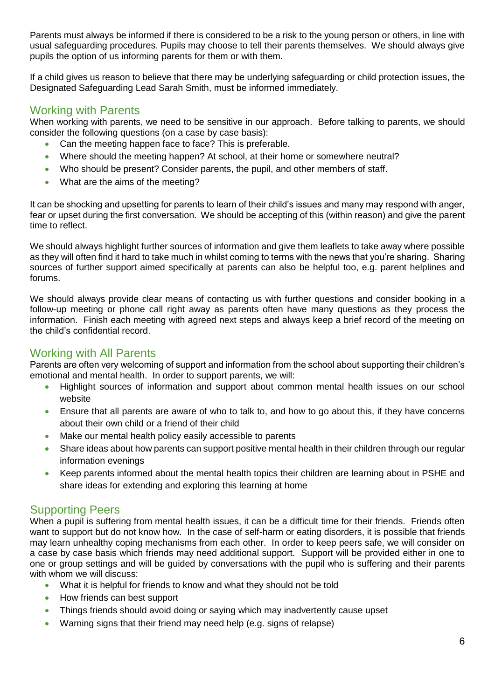Parents must always be informed if there is considered to be a risk to the young person or others, in line with usual safeguarding procedures. Pupils may choose to tell their parents themselves. We should always give pupils the option of us informing parents for them or with them.

If a child gives us reason to believe that there may be underlying safeguarding or child protection issues, the Designated Safeguarding Lead Sarah Smith, must be informed immediately.

## Working with Parents

When working with parents, we need to be sensitive in our approach. Before talking to parents, we should consider the following questions (on a case by case basis):

- Can the meeting happen face to face? This is preferable.
- Where should the meeting happen? At school, at their home or somewhere neutral?
- Who should be present? Consider parents, the pupil, and other members of staff.
- What are the aims of the meeting?

It can be shocking and upsetting for parents to learn of their child's issues and many may respond with anger, fear or upset during the first conversation. We should be accepting of this (within reason) and give the parent time to reflect.

We should always highlight further sources of information and give them leaflets to take away where possible as they will often find it hard to take much in whilst coming to terms with the news that you're sharing. Sharing sources of further support aimed specifically at parents can also be helpful too, e.g. parent helplines and forums.

We should always provide clear means of contacting us with further questions and consider booking in a follow-up meeting or phone call right away as parents often have many questions as they process the information. Finish each meeting with agreed next steps and always keep a brief record of the meeting on the child's confidential record.

## Working with All Parents

Parents are often very welcoming of support and information from the school about supporting their children's emotional and mental health. In order to support parents, we will:

- Highlight sources of information and support about common mental health issues on our school website
- Ensure that all parents are aware of who to talk to, and how to go about this, if they have concerns about their own child or a friend of their child
- Make our mental health policy easily accessible to parents
- Share ideas about how parents can support positive mental health in their children through our regular information evenings
- Keep parents informed about the mental health topics their children are learning about in PSHE and share ideas for extending and exploring this learning at home

## Supporting Peers

When a pupil is suffering from mental health issues, it can be a difficult time for their friends. Friends often want to support but do not know how. In the case of self-harm or eating disorders, it is possible that friends may learn unhealthy coping mechanisms from each other. In order to keep peers safe, we will consider on a case by case basis which friends may need additional support. Support will be provided either in one to one or group settings and will be guided by conversations with the pupil who is suffering and their parents with whom we will discuss:

- What it is helpful for friends to know and what they should not be told
- How friends can best support
- Things friends should avoid doing or saying which may inadvertently cause upset
- Warning signs that their friend may need help (e.g. signs of relapse)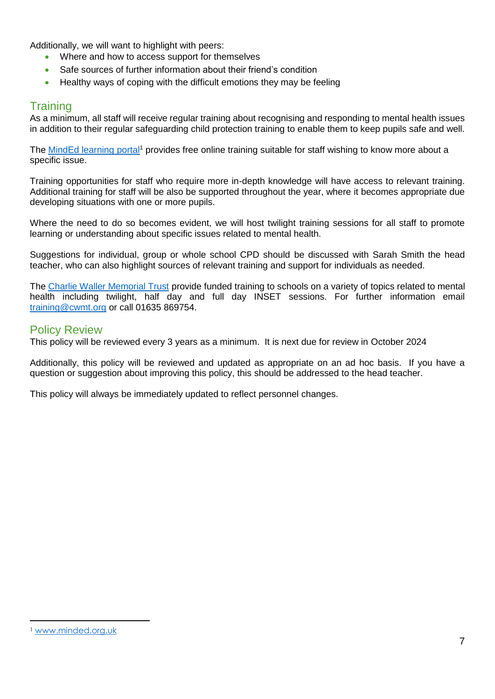Additionally, we will want to highlight with peers:

- Where and how to access support for themselves
- Safe sources of further information about their friend's condition
- Healthy ways of coping with the difficult emotions they may be feeling

## **Training**

As a minimum, all staff will receive regular training about recognising and responding to mental health issues in addition to their regular safeguarding child protection training to enable them to keep pupils safe and well.

The [MindEd learning portal](https://www.minded.org.uk/)<sup>1</sup> provides free online training suitable for staff wishing to know more about a specific issue.

Training opportunities for staff who require more in-depth knowledge will have access to relevant training. Additional training for staff will be also be supported throughout the year, where it becomes appropriate due developing situations with one or more pupils.

Where the need to do so becomes evident, we will host twilight training sessions for all staff to promote learning or understanding about specific issues related to mental health.

Suggestions for individual, group or whole school CPD should be discussed with Sarah Smith the head teacher, who can also highlight sources of relevant training and support for individuals as needed.

The [Charlie Waller Memorial Trust](http://www.cwmt.org.uk/) provide funded training to schools on a variety of topics related to mental health including twilight, half day and full day INSET sessions. For further information email [training@cwmt.org](mailto:training@cwmt.org) or call 01635 869754.

## Policy Review

This policy will be reviewed every 3 years as a minimum. It is next due for review in October 2024

Additionally, this policy will be reviewed and updated as appropriate on an ad hoc basis. If you have a question or suggestion about improving this policy, this should be addressed to the head teacher.

This policy will always be immediately updated to reflect personnel changes.

<u>.</u>

<sup>1</sup> [www.minded.org.uk](http://www.minded.org.uk/)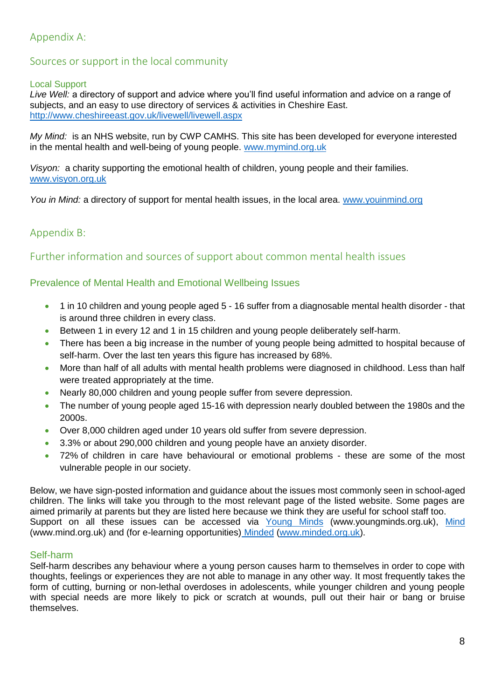## Appendix A:

## Sources or support in the local community

#### Local Support

*Live Well:* a directory of support and advice where you'll find useful information and advice on a range of subjects, and an easy to use directory of services & activities in Cheshire East. <http://www.cheshireeast.gov.uk/livewell/livewell.aspx>

*My Mind:* is an NHS website, run by CWP CAMHS. This site has been developed for everyone interested in the mental health and well-being of young people. [www.mymind.org.uk](http://www.mymind.org.uk/)

*Visyon:* a charity supporting the emotional health of children, young people and their families. [www.visyon.org.uk](http://www.visyon.org.uk/)

*You in Mind:* a directory of support for mental health issues, in the local area. [www.youinmind.org](http://www.youinmind.org/)

## Appendix B:

## Further information and sources of support about common mental health issues

#### Prevalence of Mental Health and Emotional Wellbeing Issues

- 1 in 10 children and young people aged 5 16 suffer from a diagnosable mental health disorder that is around three children in every class.
- Between 1 in every 12 and 1 in 15 children and young people deliberately self-harm.
- There has been a big increase in the number of young people being admitted to hospital because of self-harm. Over the last ten years this figure has increased by 68%.
- More than half of all adults with mental health problems were diagnosed in childhood. Less than half were treated appropriately at the time.
- Nearly 80,000 children and young people suffer from severe depression.
- The number of young people aged 15-16 with depression nearly doubled between the 1980s and the 2000s.
- Over 8,000 children aged under 10 years old suffer from severe depression.
- 3.3% or about 290,000 children and young people have an anxiety disorder.
- 72% of children in care have behavioural or emotional problems these are some of the most vulnerable people in our society.

Below, we have sign-posted information and guidance about the issues most commonly seen in school-aged children. The links will take you through to the most relevant page of the listed website. Some pages are aimed primarily at parents but they are listed here because we think they are useful for school staff too. Support on all these issues can be accessed via [Young Minds](http://www.youngminds.org.uk/for_parents/whats_worrying_you_about_your_child/self-harm) (www.youngminds.org.uk), [Mind](http://www.mind.org.uk/information-support/types-of-mental-health-problems/self-harm/#.VMxpXsbA67s) (www.mind.org.uk) and (for e-learning opportunities) [Minded](https://www.minded.org.uk/course/view.php?id=89) [\(www.minded.org.uk\)](http://www.minded.org.uk/).

#### Self-harm

Self-harm describes any behaviour where a young person causes harm to themselves in order to cope with thoughts, feelings or experiences they are not able to manage in any other way. It most frequently takes the form of cutting, burning or non-lethal overdoses in adolescents, while younger children and young people with special needs are more likely to pick or scratch at wounds, pull out their hair or bang or bruise themselves.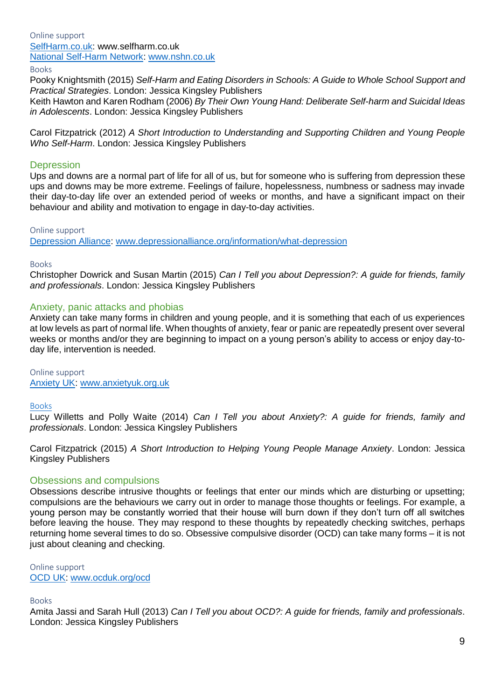### Online support [SelfHarm.co.uk:](https://www.selfharm.co.uk/) www.selfharm.co.uk [National Self-Harm Network: www.nshn.co.uk](http://www.nshn.co.uk/)

Books

Pooky Knightsmith (2015) *Self-Harm and Eating Disorders in Schools: A Guide to Whole School Support and Practical Strategies*. London: Jessica Kingsley Publishers

Keith Hawton and Karen Rodham (2006) *By Their Own Young Hand: Deliberate Self-harm and Suicidal Ideas in Adolescents*. London: Jessica Kingsley Publishers

Carol Fitzpatrick (2012) *A Short Introduction to Understanding and Supporting Children and Young People Who Self-Harm*. London: Jessica Kingsley Publishers

#### **Depression**

Ups and downs are a normal part of life for all of us, but for someone who is suffering from depression these ups and downs may be more extreme. Feelings of failure, hopelessness, numbness or sadness may invade their day-to-day life over an extended period of weeks or months, and have a significant impact on their behaviour and ability and motivation to engage in day-to-day activities.

#### Online support

[Depression Alliance: www.depressionalliance.org/information/what-depression](http://www.depressionalliance.org/information/what-depression)

#### Books

Christopher Dowrick and Susan Martin (2015) *Can I Tell you about Depression?: A guide for friends, family and professionals*. London: Jessica Kingsley Publishers

#### Anxiety, panic attacks and phobias

Anxiety can take many forms in children and young people, and it is something that each of us experiences at low levels as part of normal life. When thoughts of anxiety, fear or panic are repeatedly present over several weeks or months and/or they are beginning to impact on a young person's ability to access or enjoy day-today life, intervention is needed.

Online support [Anxiety UK:](https://www.anxietyuk.org.uk/) [www.anxietyuk.org.uk](http://www.anxietyuk.org.uk/)

#### Books

Lucy Willetts and Polly Waite (2014) *Can I Tell you about Anxiety?: A guide for friends, family and professionals*. London: Jessica Kingsley Publishers

Carol Fitzpatrick (2015) *A Short Introduction to Helping Young People Manage Anxiety*. London: Jessica Kingsley Publishers

#### Obsessions and compulsions

Obsessions describe intrusive thoughts or feelings that enter our minds which are disturbing or upsetting; compulsions are the behaviours we carry out in order to manage those thoughts or feelings. For example, a young person may be constantly worried that their house will burn down if they don't turn off all switches before leaving the house. They may respond to these thoughts by repeatedly checking switches, perhaps returning home several times to do so. Obsessive compulsive disorder (OCD) can take many forms – it is not just about cleaning and checking.

Online support [OCD UK: www.ocduk.org/ocd](http://www.ocduk.org/ocd)

#### Books

Amita Jassi and Sarah Hull (2013) *Can I Tell you about OCD?: A guide for friends, family and professionals*. London: Jessica Kingsley Publishers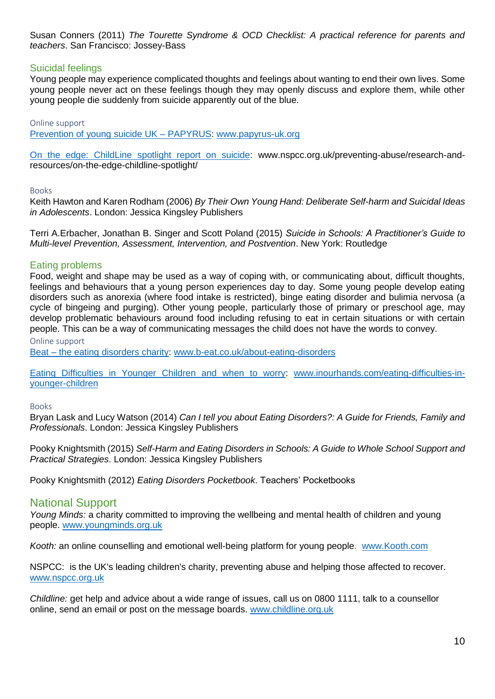Susan Conners (2011) *The Tourette Syndrome & OCD Checklist: A practical reference for parents and teachers*. San Francisco: Jossey-Bass

#### Suicidal feelings

Young people may experience complicated thoughts and feelings about wanting to end their own lives. Some young people never act on these feelings though they may openly discuss and explore them, while other young people die suddenly from suicide apparently out of the blue.

Online support

[Prevention of young suicide UK –](https://www.papyrus-uk.org/) PAPYRUS: [www.papyrus-uk.org](http://www.papyrus-uk.org/)

[On the edge: ChildLine spotlight report on suicide:](http://www.nspcc.org.uk/preventing-abuse/research-and-resources/on-the-edge-childline-spotlight/) www.nspcc.org.uk/preventing-abuse/research-andresources/on-the-edge-childline-spotlight/

#### Books

Keith Hawton and Karen Rodham (2006) *By Their Own Young Hand: Deliberate Self-harm and Suicidal Ideas in Adolescents*. London: Jessica Kingsley Publishers

Terri A.Erbacher, Jonathan B. Singer and Scott Poland (2015) *Suicide in Schools: A Practitioner's Guide to Multi-level Prevention, Assessment, Intervention, and Postvention*. New York: Routledge

#### Eating problems

Food, weight and shape may be used as a way of coping with, or communicating about, difficult thoughts, feelings and behaviours that a young person experiences day to day. Some young people develop eating disorders such as anorexia (where food intake is restricted), binge eating disorder and bulimia nervosa (a cycle of bingeing and purging). Other young people, particularly those of primary or preschool age, may develop problematic behaviours around food including refusing to eat in certain situations or with certain people. This can be a way of communicating messages the child does not have the words to convey.

Online support

Beat – [the eating disorders charity:](http://www.b-eat.co.uk/get-help/about-eating-disorders/) [www.b-eat.co.uk/about-eating-disorders](http://www.b-eat.co.uk/about-eating-disorders)

[Eating Difficulties in Younger Children and when to worry:](http://www.inourhands.com/eating-difficulties-in-younger-children/) [www.inourhands.com/eating-difficulties-in](http://www.inourhands.com/eating-difficulties-in-younger-children)[younger-children](http://www.inourhands.com/eating-difficulties-in-younger-children)

#### Books

Bryan Lask and Lucy Watson (2014) *Can I tell you about Eating Disorders?: A Guide for Friends, Family and Professionals*. London: Jessica Kingsley Publishers

Pooky Knightsmith (2015) *Self-Harm and Eating Disorders in Schools: A Guide to Whole School Support and Practical Strategies*. London: Jessica Kingsley Publishers

Pooky Knightsmith (2012) *Eating Disorders Pocketbook*. Teachers' Pocketbooks

#### National Support

*Young Minds:* a charity committed to improving the wellbeing and mental health of children and young people. [www.youngminds.org.uk](http://www.youngminds.org.uk/) 

*Kooth:* an online counselling and emotional well-being platform for young people. [www.Kooth.com](http://www.kooth.com/)

NSPCC: is the UK's leading children's charity, preventing abuse and helping those affected to recover. [www.nspcc.org.uk](http://www.nspcc.org.uk/)

*Childline:* get help and advice about a wide range of issues, call us on 0800 1111, talk to a counsellor online, send an email or post on the message boards. [www.childline.org.uk](http://www.childline.org.uk/)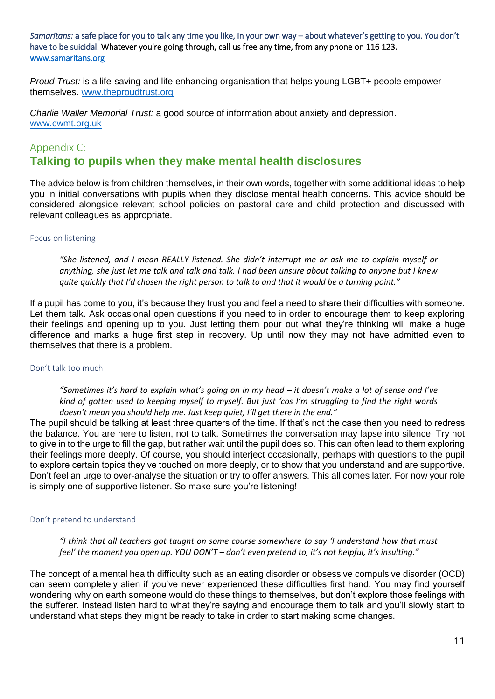*Samaritans:* a safe place for you to talk any time you like, in your own way – about whatever's getting to you. You don't have to be suicidal. Whatever you're going through, call us free any time, from any phone on 116 123. [www.samaritans.org](http://www.samaritans.org/) 

*Proud Trust:* is a life-saving and life enhancing organisation that helps young LGBT+ people empower themselves. [www.theproudtrust.org](http://www.theproudtrust.org/) 

*Charlie Waller Memorial Trust:* a good source of information about anxiety and depression. [www.cwmt.org.uk](http://www.cwmt.org.uk/)

#### Appendix C:

## **Talking to pupils when they make mental health disclosures**

The advice below is from children themselves, in their own words, together with some additional ideas to help you in initial conversations with pupils when they disclose mental health concerns. This advice should be considered alongside relevant school policies on pastoral care and child protection and discussed with relevant colleagues as appropriate.

#### Focus on listening

*"She listened, and I mean REALLY listened. She didn't interrupt me or ask me to explain myself or anything, she just let me talk and talk and talk. I had been unsure about talking to anyone but I knew quite quickly that I'd chosen the right person to talk to and that it would be a turning point."* 

If a pupil has come to you, it's because they trust you and feel a need to share their difficulties with someone. Let them talk. Ask occasional open questions if you need to in order to encourage them to keep exploring their feelings and opening up to you. Just letting them pour out what they're thinking will make a huge difference and marks a huge first step in recovery. Up until now they may not have admitted even to themselves that there is a problem.

#### Don't talk too much

*"Sometimes it's hard to explain what's going on in my head – it doesn't make a lot of sense and I've kind of gotten used to keeping myself to myself. But just 'cos I'm struggling to find the right words doesn't mean you should help me. Just keep quiet, I'll get there in the end."* 

The pupil should be talking at least three quarters of the time. If that's not the case then you need to redress the balance. You are here to listen, not to talk. Sometimes the conversation may lapse into silence. Try not to give in to the urge to fill the gap, but rather wait until the pupil does so. This can often lead to them exploring their feelings more deeply. Of course, you should interject occasionally, perhaps with questions to the pupil to explore certain topics they've touched on more deeply, or to show that you understand and are supportive. Don't feel an urge to over-analyse the situation or try to offer answers. This all comes later. For now your role is simply one of supportive listener. So make sure you're listening!

#### Don't pretend to understand

*"I think that all teachers got taught on some course somewhere to say 'I understand how that must feel' the moment you open up. YOU DON'T – don't even pretend to, it's not helpful, it's insulting."* 

The concept of a mental health difficulty such as an eating disorder or obsessive compulsive disorder (OCD) can seem completely alien if you've never experienced these difficulties first hand. You may find yourself wondering why on earth someone would do these things to themselves, but don't explore those feelings with the sufferer. Instead listen hard to what they're saying and encourage them to talk and you'll slowly start to understand what steps they might be ready to take in order to start making some changes.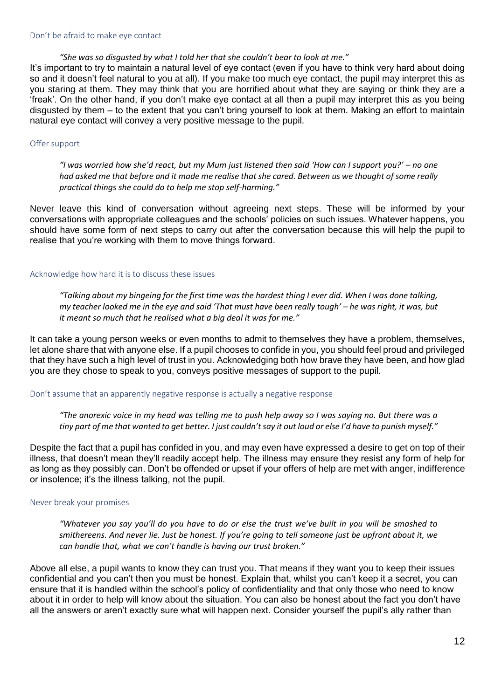#### *"She was so disgusted by what I told her that she couldn't bear to look at me."*

It's important to try to maintain a natural level of eye contact (even if you have to think very hard about doing so and it doesn't feel natural to you at all). If you make too much eye contact, the pupil may interpret this as you staring at them. They may think that you are horrified about what they are saying or think they are a 'freak'. On the other hand, if you don't make eye contact at all then a pupil may interpret this as you being disgusted by them – to the extent that you can't bring yourself to look at them. Making an effort to maintain natural eye contact will convey a very positive message to the pupil.

#### Offer support

*"I was worried how she'd react, but my Mum just listened then said 'How can I support you?' – no one had asked me that before and it made me realise that she cared. Between us we thought of some really practical things she could do to help me stop self-harming."* 

Never leave this kind of conversation without agreeing next steps. These will be informed by your conversations with appropriate colleagues and the schools' policies on such issues. Whatever happens, you should have some form of next steps to carry out after the conversation because this will help the pupil to realise that you're working with them to move things forward.

#### Acknowledge how hard it is to discuss these issues

*"Talking about my bingeing for the first time was the hardest thing I ever did. When I was done talking, my teacher looked me in the eye and said 'That must have been really tough' – he was right, it was, but it meant so much that he realised what a big deal it was for me."* 

It can take a young person weeks or even months to admit to themselves they have a problem, themselves, let alone share that with anyone else. If a pupil chooses to confide in you, you should feel proud and privileged that they have such a high level of trust in you. Acknowledging both how brave they have been, and how glad you are they chose to speak to you, conveys positive messages of support to the pupil.

#### Don't assume that an apparently negative response is actually a negative response

*"The anorexic voice in my head was telling me to push help away so I was saying no. But there was a tiny part of me that wanted to get better. I just couldn't say it out loud or else I'd have to punish myself."* 

Despite the fact that a pupil has confided in you, and may even have expressed a desire to get on top of their illness, that doesn't mean they'll readily accept help. The illness may ensure they resist any form of help for as long as they possibly can. Don't be offended or upset if your offers of help are met with anger, indifference or insolence; it's the illness talking, not the pupil.

#### Never break your promises

*"Whatever you say you'll do you have to do or else the trust we've built in you will be smashed to smithereens. And never lie. Just be honest. If you're going to tell someone just be upfront about it, we can handle that, what we can't handle is having our trust broken."* 

Above all else, a pupil wants to know they can trust you. That means if they want you to keep their issues confidential and you can't then you must be honest. Explain that, whilst you can't keep it a secret, you can ensure that it is handled within the school's policy of confidentiality and that only those who need to know about it in order to help will know about the situation. You can also be honest about the fact you don't have all the answers or aren't exactly sure what will happen next. Consider yourself the pupil's ally rather than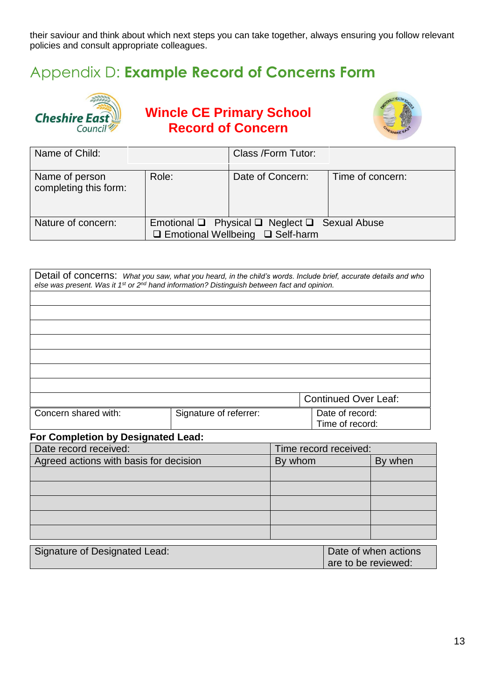their saviour and think about which next steps you can take together, always ensuring you follow relevant policies and consult appropriate colleagues.

# Appendix D: **Example Record of Concerns Form**



**Wincle CE Primary School Record of Concern**



| Name of Child:                          |                                                                                                             | Class /Form Tutor: |                  |
|-----------------------------------------|-------------------------------------------------------------------------------------------------------------|--------------------|------------------|
|                                         |                                                                                                             |                    |                  |
| Name of person<br>completing this form: | Role:                                                                                                       | Date of Concern:   | Time of concern: |
| Nature of concern:                      | Emotional $\Box$ Physical $\Box$ Neglect $\Box$ Sexual Abuse<br>$\Box$ Emotional Wellbeing $\Box$ Self-harm |                    |                  |

| Detail of concerns: What you saw, what you heard, in the child's words. Include brief, accurate details and who<br>else was present. Was it 1 <sup>st</sup> or 2 <sup>nd</sup> hand information? Distinguish between fact and opinion. |  |                                    |         |                             |                      |
|----------------------------------------------------------------------------------------------------------------------------------------------------------------------------------------------------------------------------------------|--|------------------------------------|---------|-----------------------------|----------------------|
|                                                                                                                                                                                                                                        |  |                                    |         | <b>Continued Over Leaf:</b> |                      |
| Concern shared with:<br>Signature of referrer:                                                                                                                                                                                         |  | Date of record:<br>Time of record: |         |                             |                      |
| <b>For Completion by Designated Lead:</b>                                                                                                                                                                                              |  |                                    |         |                             |                      |
| Date record received:                                                                                                                                                                                                                  |  | Time record received:              |         |                             |                      |
| Agreed actions with basis for decision                                                                                                                                                                                                 |  |                                    | By whom |                             | By when              |
|                                                                                                                                                                                                                                        |  |                                    |         |                             |                      |
|                                                                                                                                                                                                                                        |  |                                    |         |                             |                      |
|                                                                                                                                                                                                                                        |  |                                    |         |                             |                      |
|                                                                                                                                                                                                                                        |  |                                    |         |                             |                      |
|                                                                                                                                                                                                                                        |  |                                    |         |                             |                      |
| Signature of Designated Lead:                                                                                                                                                                                                          |  |                                    |         | are to be reviewed:         | Date of when actions |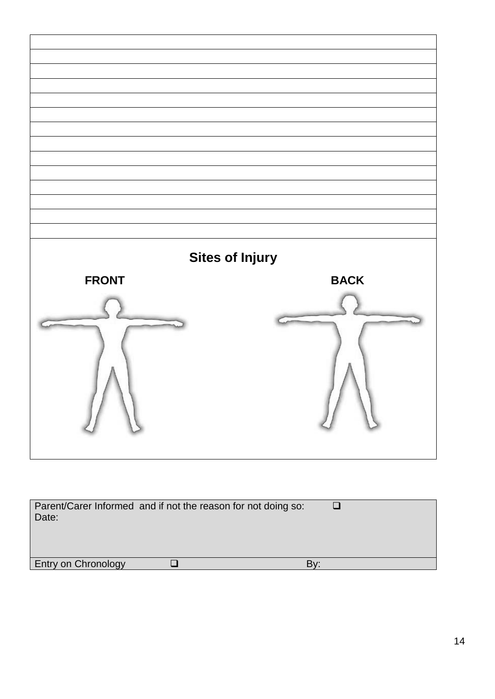| <b>Sites of Injury</b><br><b>FRONT</b> | <b>BACK</b> |
|----------------------------------------|-------------|
| N                                      | N           |

| Parent/Carer Informed and if not the reason for not doing so:<br>Date: |  |  |
|------------------------------------------------------------------------|--|--|
| <b>Entry on Chronology</b>                                             |  |  |